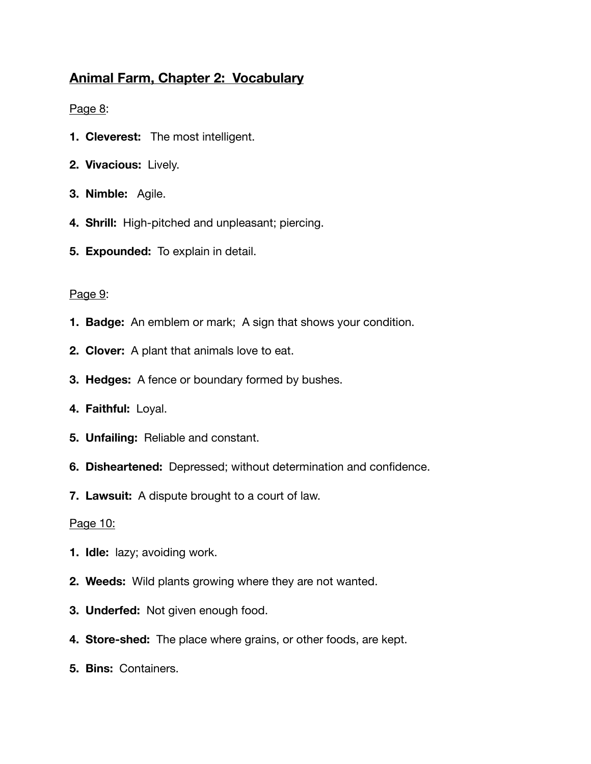# **Animal Farm, Chapter 2: Vocabulary**

Page 8:

- **1. Cleverest:** The most intelligent.
- **2. Vivacious:** Lively.
- **3. Nimble:** Agile.
- **4. Shrill:** High-pitched and unpleasant; piercing.
- **5. Expounded:** To explain in detail.

# Page 9:

- **1. Badge:** An emblem or mark; A sign that shows your condition.
- **2. Clover:** A plant that animals love to eat.
- **3. Hedges:** A fence or boundary formed by bushes.
- **4. Faithful:** Loyal.
- **5. Unfailing:** Reliable and constant.
- **6. Disheartened:** Depressed; without determination and confidence.
- **7. Lawsuit:** A dispute brought to a court of law.

# Page 10:

- **1. Idle:** lazy; avoiding work.
- **2. Weeds:** Wild plants growing where they are not wanted.
- **3. Underfed:** Not given enough food.
- **4. Store-shed:** The place where grains, or other foods, are kept.
- **5. Bins:** Containers.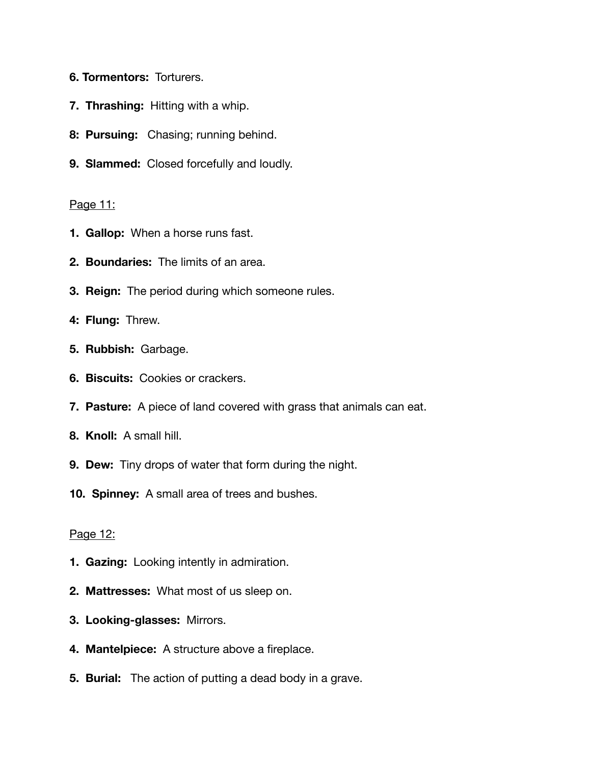- **6. Tormentors:** Torturers.
- **7. Thrashing:** Hitting with a whip.
- **8: Pursuing:** Chasing; running behind.
- **9. Slammed:** Closed forcefully and loudly.

#### Page 11:

- **1. Gallop:** When a horse runs fast.
- **2. Boundaries:** The limits of an area.
- **3. Reign:** The period during which someone rules.
- **4: Flung:** Threw.
- **5. Rubbish:** Garbage.
- **6. Biscuits:** Cookies or crackers.
- **7. Pasture:** A piece of land covered with grass that animals can eat.
- **8. Knoll:** A small hill.
- **9. Dew:** Tiny drops of water that form during the night.
- **10. Spinney:** A small area of trees and bushes.

## Page 12:

- **1. Gazing:** Looking intently in admiration.
- **2. Mattresses:** What most of us sleep on.
- **3. Looking-glasses:** Mirrors.
- **4. Mantelpiece:** A structure above a fireplace.
- **5. Burial:** The action of putting a dead body in a grave.